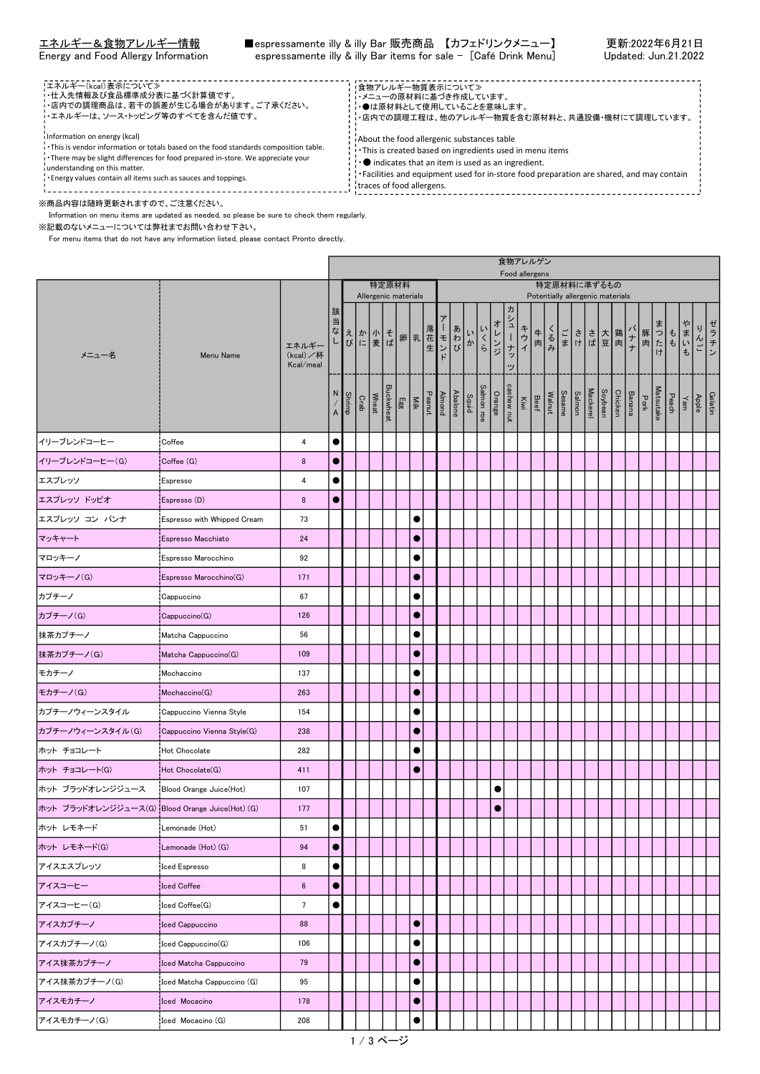合物フレルゲン

| !エネルギー(kcal)表示について≫<br>!・仕入先情報及び食品標準成分表に基づく計算値です。<br>・店内での調理商品は、若干の誤差が生じる場合があります。ご了承ください。<br>・エネルギーは、ソース・トッピング等のすべてを含んだ値です。                                                                                                                                                                                | ●食物アレルギー物質表示について≫<br>・・メニューの原材料に基づき作成しています。<br>・・●は原材料として使用していることを意味します。<br>- ・店内での調理工程は、他のアレルギー物質を含む原材料と、共通設備・機材にて調理しています。                                                                                                                                                                     |  |
|------------------------------------------------------------------------------------------------------------------------------------------------------------------------------------------------------------------------------------------------------------------------------------------------------------|-------------------------------------------------------------------------------------------------------------------------------------------------------------------------------------------------------------------------------------------------------------------------------------------------|--|
| i Information on energy (kcal)<br>. This is vendor information or totals based on the food standards composition table.<br>There may be slight differences for food prepared in-store. We appreciate your<br>understanding on this matter.<br>Energy values contain all items such as sauces and toppings. | About the food allergenic substances table<br>. This is created based on ingredients used in menu items<br>! . Indicates that an item is used as an ingredient.<br>$\cdot$ Facilities and equipment used for in-store food preparation are shared, and may contain<br>traces of food allergens. |  |

Г

※商品内容は随時更新されますので、ご注意ください。

Information on menu items are updated as needed, so please be sure to check them regularly.

※記載のないメニューについては弊社までお問い合わせ下さい。

For menu items that do not have any information listed, please contact Pronto directly.

|                                                 |                             |                               |                           |               |                                                 |                    |                                                                                                                                                                                                                                                                                                                                                                                                                                                                                     |            |  |         |                     |           | $X \cup Y$      | Food allergens                   |  |  |             |  |  |                                                                                                                                                                                                                                                                                    |                  |  |
|-------------------------------------------------|-----------------------------|-------------------------------|---------------------------|---------------|-------------------------------------------------|--------------------|-------------------------------------------------------------------------------------------------------------------------------------------------------------------------------------------------------------------------------------------------------------------------------------------------------------------------------------------------------------------------------------------------------------------------------------------------------------------------------------|------------|--|---------|---------------------|-----------|-----------------|----------------------------------|--|--|-------------|--|--|------------------------------------------------------------------------------------------------------------------------------------------------------------------------------------------------------------------------------------------------------------------------------------|------------------|--|
|                                                 |                             |                               |                           |               |                                                 |                    | 特定原材料<br>Allergenic materials                                                                                                                                                                                                                                                                                                                                                                                                                                                       |            |  |         |                     |           |                 | Potentially allergenic materials |  |  | 特定原材料に準ずるもの |  |  |                                                                                                                                                                                                                                                                                    |                  |  |
| メニュー名                                           | Menu Name                   | エネルギ<br>(kcal)/杯<br>Kcal/meal | 該<br>当                    |               | ヨなえか 小そ 卵乳花モわいくらい こうしゅう こうかん こうしゅう こうしゅう しょうしゅう |                    |                                                                                                                                                                                                                                                                                                                                                                                                                                                                                     |            |  |         |                     | オレンジ      | 力<br>シューナッ<br>ッ |                                  |  |  |             |  |  | キー く ごささ大鶏 肉 まっもまい こうきょう いちかん しょうしょう しゅうしょう きょうきょう まいもく まいもく                                                                                                                                                                                                                       | ゼラチン<br>りんご      |  |
|                                                 |                             |                               | $\boldsymbol{\mathsf{A}}$ | <b>Shrimp</b> | Crab                                            | Buckwheat<br>Wheat | $\begin{tabular}{c c c} \hline A & model & \hline & E & E & E \\ \hline \multicolumn{1}{c}{\textbf{Pearut}} & \multicolumn{1}{c}{\textbf{Will}} & \multicolumn{1}{c}{\textbf{Eg}} \\ \hline \multicolumn{1}{c}{\textbf{Pearut}} & \multicolumn{1}{c}{\textbf{Will}} & \multicolumn{1}{c}{\textbf{Eg}} \\ \hline \multicolumn{1}{c}{\textbf{Pearut}} & \multicolumn{1}{c}{\textbf{Eg}} & \multicolumn{1}{c}{\textbf{Eg}} \\ \hline \multicolumn{1}{c}{\textbf{Eg}} & \multicolumn{1$ |            |  | Abalone | Salmon roe<br>Squid |           |                 |                                  |  |  |             |  |  | Natsutake<br>Peach<br>Portk<br>Peach<br>Portk<br>Banana<br>Mackerel<br>Soybean<br>Mackerel<br>Soybean<br>Soybean<br>Salmon<br>Dott (Mackerel<br>Salmon<br>Salmon<br>Salmon<br>Salmon<br>Salmon<br>Salmon<br>Salmon<br>Salmon<br>Salmon<br>Salmon<br>Salmon<br>Salmon<br>Salmon<br> | Gelatin<br>Apple |  |
| イリーブレンドコーヒー                                     | Coffee                      | 4                             | $\bullet$                 |               |                                                 |                    |                                                                                                                                                                                                                                                                                                                                                                                                                                                                                     |            |  |         |                     |           |                 |                                  |  |  |             |  |  |                                                                                                                                                                                                                                                                                    |                  |  |
| イリーブレンドコーヒー(G)                                  | Coffee (G)                  | 8                             | $\bullet$                 |               |                                                 |                    |                                                                                                                                                                                                                                                                                                                                                                                                                                                                                     |            |  |         |                     |           |                 |                                  |  |  |             |  |  |                                                                                                                                                                                                                                                                                    |                  |  |
| エスプレッソ                                          | Espresso                    | 4                             | $\bullet$                 |               |                                                 |                    |                                                                                                                                                                                                                                                                                                                                                                                                                                                                                     |            |  |         |                     |           |                 |                                  |  |  |             |  |  |                                                                                                                                                                                                                                                                                    |                  |  |
| エスプレッソ ドッピオ                                     | Espresso (D)                | 8                             | $\bullet$                 |               |                                                 |                    |                                                                                                                                                                                                                                                                                                                                                                                                                                                                                     |            |  |         |                     |           |                 |                                  |  |  |             |  |  |                                                                                                                                                                                                                                                                                    |                  |  |
| エスプレッソ コン パンナ                                   | Espresso with Whipped Cream | 73                            |                           |               |                                                 |                    |                                                                                                                                                                                                                                                                                                                                                                                                                                                                                     | ●          |  |         |                     |           |                 |                                  |  |  |             |  |  |                                                                                                                                                                                                                                                                                    |                  |  |
| マッキャート                                          | Espresso Macchiato          | 24                            |                           |               |                                                 |                    |                                                                                                                                                                                                                                                                                                                                                                                                                                                                                     | C          |  |         |                     |           |                 |                                  |  |  |             |  |  |                                                                                                                                                                                                                                                                                    |                  |  |
| マロッキーノ                                          | Espresso Marocchino         | 92                            |                           |               |                                                 |                    |                                                                                                                                                                                                                                                                                                                                                                                                                                                                                     |            |  |         |                     |           |                 |                                  |  |  |             |  |  |                                                                                                                                                                                                                                                                                    |                  |  |
| マロッキーノ(G)                                       | Espresso Marocchino(G)      | 171                           |                           |               |                                                 |                    |                                                                                                                                                                                                                                                                                                                                                                                                                                                                                     | G          |  |         |                     |           |                 |                                  |  |  |             |  |  |                                                                                                                                                                                                                                                                                    |                  |  |
| カプチーノ                                           | Cappuccino                  | 67                            |                           |               |                                                 |                    |                                                                                                                                                                                                                                                                                                                                                                                                                                                                                     | ●          |  |         |                     |           |                 |                                  |  |  |             |  |  |                                                                                                                                                                                                                                                                                    |                  |  |
| カプチーノ(G)                                        | Cappuccino(G)               | 126                           |                           |               |                                                 |                    |                                                                                                                                                                                                                                                                                                                                                                                                                                                                                     | $\bullet$  |  |         |                     |           |                 |                                  |  |  |             |  |  |                                                                                                                                                                                                                                                                                    |                  |  |
| 抹茶カプチーノ                                         | Matcha Cappuccino           | 56                            |                           |               |                                                 |                    |                                                                                                                                                                                                                                                                                                                                                                                                                                                                                     |            |  |         |                     |           |                 |                                  |  |  |             |  |  |                                                                                                                                                                                                                                                                                    |                  |  |
| 抹茶カプチーノ(G)                                      | Matcha Cappuccino(G)        | 109                           |                           |               |                                                 |                    |                                                                                                                                                                                                                                                                                                                                                                                                                                                                                     | $\epsilon$ |  |         |                     |           |                 |                                  |  |  |             |  |  |                                                                                                                                                                                                                                                                                    |                  |  |
| モカチーノ                                           | Mochaccino                  | 137                           |                           |               |                                                 |                    |                                                                                                                                                                                                                                                                                                                                                                                                                                                                                     |            |  |         |                     |           |                 |                                  |  |  |             |  |  |                                                                                                                                                                                                                                                                                    |                  |  |
| モカチーノ(G)                                        | Mochaccino(G)               | 263                           |                           |               |                                                 |                    |                                                                                                                                                                                                                                                                                                                                                                                                                                                                                     | $\bullet$  |  |         |                     |           |                 |                                  |  |  |             |  |  |                                                                                                                                                                                                                                                                                    |                  |  |
| カプチーノウィーンスタイル                                   | Cappuccino Vienna Style     | 154                           |                           |               |                                                 |                    |                                                                                                                                                                                                                                                                                                                                                                                                                                                                                     | $\bullet$  |  |         |                     |           |                 |                                  |  |  |             |  |  |                                                                                                                                                                                                                                                                                    |                  |  |
| カプチーノウィーンスタイル(G)                                | Cappuccino Vienna Style(G)  | 238                           |                           |               |                                                 |                    |                                                                                                                                                                                                                                                                                                                                                                                                                                                                                     | $\bullet$  |  |         |                     |           |                 |                                  |  |  |             |  |  |                                                                                                                                                                                                                                                                                    |                  |  |
| ホット チョコレート                                      | Hot Chocolate               | 282                           |                           |               |                                                 |                    |                                                                                                                                                                                                                                                                                                                                                                                                                                                                                     |            |  |         |                     |           |                 |                                  |  |  |             |  |  |                                                                                                                                                                                                                                                                                    |                  |  |
| ホット チョコレート(G)                                   | Hot Chocolate(G)            | 411                           |                           |               |                                                 |                    |                                                                                                                                                                                                                                                                                                                                                                                                                                                                                     | $\bullet$  |  |         |                     |           |                 |                                  |  |  |             |  |  |                                                                                                                                                                                                                                                                                    |                  |  |
| ホット ブラッドオレンジジュース                                | Blood Orange Juice(Hot)     | 107                           |                           |               |                                                 |                    |                                                                                                                                                                                                                                                                                                                                                                                                                                                                                     |            |  |         |                     | $\bullet$ |                 |                                  |  |  |             |  |  |                                                                                                                                                                                                                                                                                    |                  |  |
| ホット ブラッドオレンジジュース(G) Blood Orange Juice(Hot) (G) |                             | 177                           |                           |               |                                                 |                    |                                                                                                                                                                                                                                                                                                                                                                                                                                                                                     |            |  |         |                     | $\bullet$ |                 |                                  |  |  |             |  |  |                                                                                                                                                                                                                                                                                    |                  |  |
| ホット レモネード                                       | Lemonade (Hot)              | 51                            | $\bullet$                 |               |                                                 |                    |                                                                                                                                                                                                                                                                                                                                                                                                                                                                                     |            |  |         |                     |           |                 |                                  |  |  |             |  |  |                                                                                                                                                                                                                                                                                    |                  |  |
| ホット レモネード(G)                                    | Lemonade (Hot) (G)          | 94                            | $\bullet$                 |               |                                                 |                    |                                                                                                                                                                                                                                                                                                                                                                                                                                                                                     |            |  |         |                     |           |                 |                                  |  |  |             |  |  |                                                                                                                                                                                                                                                                                    |                  |  |
| アイスエスプレッソ                                       | Iced Espresso               | 8                             | $\bullet$                 |               |                                                 |                    |                                                                                                                                                                                                                                                                                                                                                                                                                                                                                     |            |  |         |                     |           |                 |                                  |  |  |             |  |  |                                                                                                                                                                                                                                                                                    |                  |  |
| アイスコーヒー                                         | <b>Iced Coffee</b>          | $\boldsymbol{6}$              | $\bullet$                 |               |                                                 |                    |                                                                                                                                                                                                                                                                                                                                                                                                                                                                                     |            |  |         |                     |           |                 |                                  |  |  |             |  |  |                                                                                                                                                                                                                                                                                    |                  |  |
| アイスコーヒー(G)                                      | Iced Coffee(G)              | $\overline{7}$                | $\bullet$                 |               |                                                 |                    |                                                                                                                                                                                                                                                                                                                                                                                                                                                                                     |            |  |         |                     |           |                 |                                  |  |  |             |  |  |                                                                                                                                                                                                                                                                                    |                  |  |
| アイスカプチーノ                                        | <b>Iced Cappuccino</b>      | 88                            |                           |               |                                                 |                    |                                                                                                                                                                                                                                                                                                                                                                                                                                                                                     |            |  |         |                     |           |                 |                                  |  |  |             |  |  |                                                                                                                                                                                                                                                                                    |                  |  |
| アイスカプチーノ(G)                                     | Iced Cappuccino(G)          | 106                           |                           |               |                                                 |                    |                                                                                                                                                                                                                                                                                                                                                                                                                                                                                     |            |  |         |                     |           |                 |                                  |  |  |             |  |  |                                                                                                                                                                                                                                                                                    |                  |  |
| アイス抹茶カプチーノ                                      | Iced Matcha Cappuccino      | 79                            |                           |               |                                                 |                    |                                                                                                                                                                                                                                                                                                                                                                                                                                                                                     | c          |  |         |                     |           |                 |                                  |  |  |             |  |  |                                                                                                                                                                                                                                                                                    |                  |  |
| アイス抹茶カプチーノ(G)                                   | Iced Matcha Cappuccino (G)  | 95                            |                           |               |                                                 |                    |                                                                                                                                                                                                                                                                                                                                                                                                                                                                                     |            |  |         |                     |           |                 |                                  |  |  |             |  |  |                                                                                                                                                                                                                                                                                    |                  |  |
| アイスモカチーノ                                        | Iced Mocacino               | 178                           |                           |               |                                                 |                    |                                                                                                                                                                                                                                                                                                                                                                                                                                                                                     |            |  |         |                     |           |                 |                                  |  |  |             |  |  |                                                                                                                                                                                                                                                                                    |                  |  |
| アイスモカチーノ(G)                                     | Iced Mocacino (G)           | 208                           |                           |               |                                                 |                    |                                                                                                                                                                                                                                                                                                                                                                                                                                                                                     |            |  |         |                     |           |                 |                                  |  |  |             |  |  |                                                                                                                                                                                                                                                                                    |                  |  |
|                                                 |                             |                               |                           |               |                                                 |                    |                                                                                                                                                                                                                                                                                                                                                                                                                                                                                     |            |  |         |                     |           |                 |                                  |  |  |             |  |  |                                                                                                                                                                                                                                                                                    |                  |  |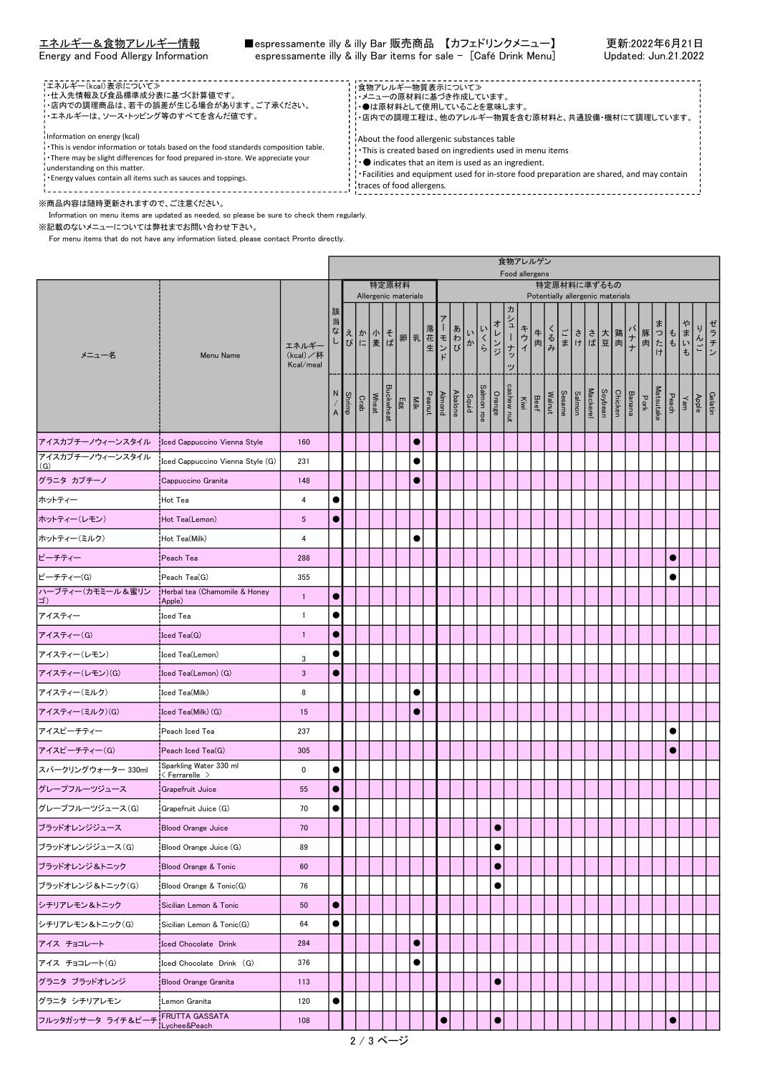| !エネルギー(kcal)表示について≫<br>!・仕入先情報及び食品標準成分表に基づく計算値です。<br>• 店内での調理商品は、若干の誤差が生じる場合があります。ご了承ください。<br>・・エネルギーは、ソース・トッピング等のすべてを含んだ値です。                                                                                                                                                                              | ・食物アレルギー物質表示について≫<br>・・メニューの原材料に基づき作成しています。<br>・・●は原材料として使用していることを意味します。<br>- ・店内での調理工程は、他のアレルギー物質を含む原材料と、共通設備・機材にて調理しています。                                                                                                                                                                                   |  |
|------------------------------------------------------------------------------------------------------------------------------------------------------------------------------------------------------------------------------------------------------------------------------------------------------------|---------------------------------------------------------------------------------------------------------------------------------------------------------------------------------------------------------------------------------------------------------------------------------------------------------------|--|
| i Information on energy (kcal)<br>. This is vendor information or totals based on the food standards composition table.<br>There may be slight differences for food prepared in-store. We appreciate your<br>understanding on this matter.<br>Energy values contain all items such as sauces and toppings. | About the food allergenic substances table<br>. This is created based on ingredients used in menu items<br>$\cdot$ $\bullet$ indicates that an item is used as an ingredient.<br>$\cdot$ Facilities and equipment used for in-store food preparation are shared, and may contain<br>traces of food allergens. |  |

※商品内容は随時更新されますので、ご注意ください。

Information on menu items are updated as needed, so please be sure to check them regularly.

※記載のないメニューについては弊社までお問い合わせ下さい。

For menu items that do not have any information listed, please contact Pronto directly.

|                                  |                                                          |                                | 食物アレルゲン<br>Food allergens<br>特定原材料<br>特定原材料に準ずるもの |        |         |       |                      |  |           |  |           |                                                                                                                                                                   |                                                                               |            |                                                                    |             |  |  |  |                    |                                  |     |                                        |              |   |                  |      |
|----------------------------------|----------------------------------------------------------|--------------------------------|---------------------------------------------------|--------|---------|-------|----------------------|--|-----------|--|-----------|-------------------------------------------------------------------------------------------------------------------------------------------------------------------|-------------------------------------------------------------------------------|------------|--------------------------------------------------------------------|-------------|--|--|--|--------------------|----------------------------------|-----|----------------------------------------|--------------|---|------------------|------|
|                                  |                                                          |                                |                                                   |        |         |       |                      |  |           |  |           |                                                                                                                                                                   |                                                                               |            |                                                                    |             |  |  |  |                    |                                  |     |                                        |              |   |                  |      |
|                                  |                                                          |                                |                                                   |        |         |       | Allergenic materials |  |           |  |           |                                                                                                                                                                   |                                                                               |            |                                                                    | ヵ           |  |  |  |                    | Potentially allergenic materials |     |                                        |              |   |                  |      |
| メニュー名                            | Menu Name                                                | エネルギー<br>(kcal)/杯<br>Kcal/meal | 該<br>当                                            |        |         |       |                      |  |           |  |           |                                                                                                                                                                   | コなして ホーモ ポート こうしょう こうしょう こうしょう こうしょう こうしょう かくしゅう きょうあいかく しょうしょう しょうしょう しょうしょう | いへい        | オレンジ                                                               | シューナッ<br>۳J |  |  |  | 牛るごささ大鶏<br>肉みまけば豆肉 |                                  | バナナ |                                        | 豚肉 七も いも     | ゃ | んご               | ゼラチン |
|                                  |                                                          |                                | N<br>$\overline{A}$                               | Shrimp | $C$ rab | Wheat | <b>Buckwheat</b>     |  |           |  |           | $\begin{tabular}{ c c c c } \hline & Ab noni noni noni noni noni noni noni noni noni noni noni noni noni noni noni noni noni noni noni noni noni noni noni noni $ |                                                                               | Salmon roe | Mackerel<br>Sesame<br>Sesame<br>Beef<br>Crange<br>Crange<br>Orange |             |  |  |  | Soybean            |                                  |     | Matsutake<br>Pork<br>Banana<br>Chicken | Yam<br>Peach |   | Gelatin<br>Apple |      |
| アイスカプチーノウィーンスタイル                 | Iced Cappuccino Vienna Style                             | 160                            |                                                   |        |         |       |                      |  | $\bullet$ |  |           |                                                                                                                                                                   |                                                                               |            |                                                                    |             |  |  |  |                    |                                  |     |                                        |              |   |                  |      |
| アイスカプチーノウィーンスタイル<br>(G)          | Iced Cappuccino Vienna Style (G)                         | 231                            |                                                   |        |         |       |                      |  | $\bullet$ |  |           |                                                                                                                                                                   |                                                                               |            |                                                                    |             |  |  |  |                    |                                  |     |                                        |              |   |                  |      |
| グラニタ カプチーノ                       | Cappuccino Granita                                       | 148                            |                                                   |        |         |       |                      |  | $\bullet$ |  |           |                                                                                                                                                                   |                                                                               |            |                                                                    |             |  |  |  |                    |                                  |     |                                        |              |   |                  |      |
| ホットティー                           | Hot Tea                                                  | 4                              | $\bullet$                                         |        |         |       |                      |  |           |  |           |                                                                                                                                                                   |                                                                               |            |                                                                    |             |  |  |  |                    |                                  |     |                                        |              |   |                  |      |
| ホットティー(レモン)                      | Hot Tea(Lemon)                                           | $\sqrt{5}$                     | $\bullet$                                         |        |         |       |                      |  |           |  |           |                                                                                                                                                                   |                                                                               |            |                                                                    |             |  |  |  |                    |                                  |     |                                        |              |   |                  |      |
| ホットティー(ミルク)                      | Hot Tea(Milk)                                            | 4                              |                                                   |        |         |       |                      |  | $\bullet$ |  |           |                                                                                                                                                                   |                                                                               |            |                                                                    |             |  |  |  |                    |                                  |     |                                        |              |   |                  |      |
| ピーチティー                           | Peach Tea                                                | 288                            |                                                   |        |         |       |                      |  |           |  |           |                                                                                                                                                                   |                                                                               |            |                                                                    |             |  |  |  |                    |                                  |     |                                        | $\bullet$    |   |                  |      |
| ピーチティー(G)                        | Peach Tea(G)                                             | 355                            |                                                   |        |         |       |                      |  |           |  |           |                                                                                                                                                                   |                                                                               |            |                                                                    |             |  |  |  |                    |                                  |     |                                        |              |   |                  |      |
| ハーブティー(カモミール&蜜リン<br>$ \exists$ ) | Herbal tea (Chamomile & Honey<br>Apple)                  | $\overline{1}$                 | $\bullet$                                         |        |         |       |                      |  |           |  |           |                                                                                                                                                                   |                                                                               |            |                                                                    |             |  |  |  |                    |                                  |     |                                        |              |   |                  |      |
| アイスティー                           | <b>Iced Tea</b>                                          | $\mathbf{1}$                   |                                                   |        |         |       |                      |  |           |  |           |                                                                                                                                                                   |                                                                               |            |                                                                    |             |  |  |  |                    |                                  |     |                                        |              |   |                  |      |
| アイスティー(G)                        | Iced Tea(G)                                              | $\overline{1}$                 | $\bullet$                                         |        |         |       |                      |  |           |  |           |                                                                                                                                                                   |                                                                               |            |                                                                    |             |  |  |  |                    |                                  |     |                                        |              |   |                  |      |
| アイスティー(レモン)                      | Iced Tea(Lemon)                                          | 3                              |                                                   |        |         |       |                      |  |           |  |           |                                                                                                                                                                   |                                                                               |            |                                                                    |             |  |  |  |                    |                                  |     |                                        |              |   |                  |      |
| アイスティー(レモン)(G)                   | Iced Tea(Lemon) (G)                                      | $\mathbf{3}$                   | $\bullet$                                         |        |         |       |                      |  |           |  |           |                                                                                                                                                                   |                                                                               |            |                                                                    |             |  |  |  |                    |                                  |     |                                        |              |   |                  |      |
| アイスティー(ミルク)                      | Iced Tea(Milk)                                           | 8                              |                                                   |        |         |       |                      |  | 0         |  |           |                                                                                                                                                                   |                                                                               |            |                                                                    |             |  |  |  |                    |                                  |     |                                        |              |   |                  |      |
| アイスティー(ミルク)(G)                   | Iced Tea(Milk) (G)                                       | 15                             |                                                   |        |         |       |                      |  |           |  |           |                                                                                                                                                                   |                                                                               |            |                                                                    |             |  |  |  |                    |                                  |     |                                        |              |   |                  |      |
| アイスピーチティー                        | Peach Iced Tea                                           | 237                            |                                                   |        |         |       |                      |  |           |  |           |                                                                                                                                                                   |                                                                               |            |                                                                    |             |  |  |  |                    |                                  |     |                                        |              |   |                  |      |
| アイスピーチティー(G)                     | Peach Iced Tea(G)                                        | 305                            |                                                   |        |         |       |                      |  |           |  |           |                                                                                                                                                                   |                                                                               |            |                                                                    |             |  |  |  |                    |                                  |     |                                        | $\bullet$    |   |                  |      |
| スパークリングウォーター 330ml               | Sparkling Water 330 ml<br>$\langle$ Ferrarelle $\rangle$ | 0                              | $\bullet$                                         |        |         |       |                      |  |           |  |           |                                                                                                                                                                   |                                                                               |            |                                                                    |             |  |  |  |                    |                                  |     |                                        |              |   |                  |      |
| グレープフルーツジュース                     | Grapefruit Juice                                         | 55                             | $\bullet$                                         |        |         |       |                      |  |           |  |           |                                                                                                                                                                   |                                                                               |            |                                                                    |             |  |  |  |                    |                                  |     |                                        |              |   |                  |      |
| グレープフルーツジュース(G)                  | Grapefruit Juice (G)                                     | 70                             |                                                   |        |         |       |                      |  |           |  |           |                                                                                                                                                                   |                                                                               |            |                                                                    |             |  |  |  |                    |                                  |     |                                        |              |   |                  |      |
| ブラッドオレンジジュース                     | Blood Orange Juice                                       | 70                             |                                                   |        |         |       |                      |  |           |  |           |                                                                                                                                                                   |                                                                               |            |                                                                    |             |  |  |  |                    |                                  |     |                                        |              |   |                  |      |
| ブラッドオレンジジュース(G)                  | Blood Orange Juice (G)                                   | 89                             |                                                   |        |         |       |                      |  |           |  |           |                                                                                                                                                                   |                                                                               |            | $\bullet$                                                          |             |  |  |  |                    |                                  |     |                                        |              |   |                  |      |
| ブラッドオレンジ&トニック                    | Blood Orange & Tonic                                     | 60                             |                                                   |        |         |       |                      |  |           |  |           |                                                                                                                                                                   |                                                                               |            | $\bullet$                                                          |             |  |  |  |                    |                                  |     |                                        |              |   |                  |      |
| ブラッドオレンジ&トニック(G)                 | Blood Orange & Tonic(G)                                  | 76                             |                                                   |        |         |       |                      |  |           |  |           |                                                                                                                                                                   |                                                                               |            | $\bullet$                                                          |             |  |  |  |                    |                                  |     |                                        |              |   |                  |      |
| シチリアレモン&トニック                     | Sicilian Lemon & Tonic                                   | 50                             | $\bullet$                                         |        |         |       |                      |  |           |  |           |                                                                                                                                                                   |                                                                               |            |                                                                    |             |  |  |  |                    |                                  |     |                                        |              |   |                  |      |
| シチリアレモン&トニック(G)                  | Sicilian Lemon & Tonic(G)                                | 64                             | $\bullet$                                         |        |         |       |                      |  |           |  |           |                                                                                                                                                                   |                                                                               |            |                                                                    |             |  |  |  |                    |                                  |     |                                        |              |   |                  |      |
| アイス チョコレート                       | Iced Chocolate Drink                                     | 284                            |                                                   |        |         |       |                      |  | $\bullet$ |  |           |                                                                                                                                                                   |                                                                               |            |                                                                    |             |  |  |  |                    |                                  |     |                                        |              |   |                  |      |
| アイス チョコレート(G)                    | Iced Chocolate Drink (G)                                 | 376                            |                                                   |        |         |       |                      |  | $\bullet$ |  |           |                                                                                                                                                                   |                                                                               |            |                                                                    |             |  |  |  |                    |                                  |     |                                        |              |   |                  |      |
| グラニタ ブラッドオレンジ                    | <b>Blood Orange Granita</b>                              | 113                            |                                                   |        |         |       |                      |  |           |  |           |                                                                                                                                                                   |                                                                               |            | $\bullet$                                                          |             |  |  |  |                    |                                  |     |                                        |              |   |                  |      |
| グラニタ シチリアレモン                     | Lemon Granita                                            | 120                            | $\bullet$                                         |        |         |       |                      |  |           |  |           |                                                                                                                                                                   |                                                                               |            |                                                                    |             |  |  |  |                    |                                  |     |                                        |              |   |                  |      |
| フルッタガッサータ ライチ&ピーチ                | FRUTTA GASSATA<br>Lychee&Peach                           | 108                            |                                                   |        |         |       |                      |  |           |  | $\bullet$ |                                                                                                                                                                   |                                                                               |            | $\bullet$                                                          |             |  |  |  |                    |                                  |     |                                        | $\bullet$    |   |                  |      |